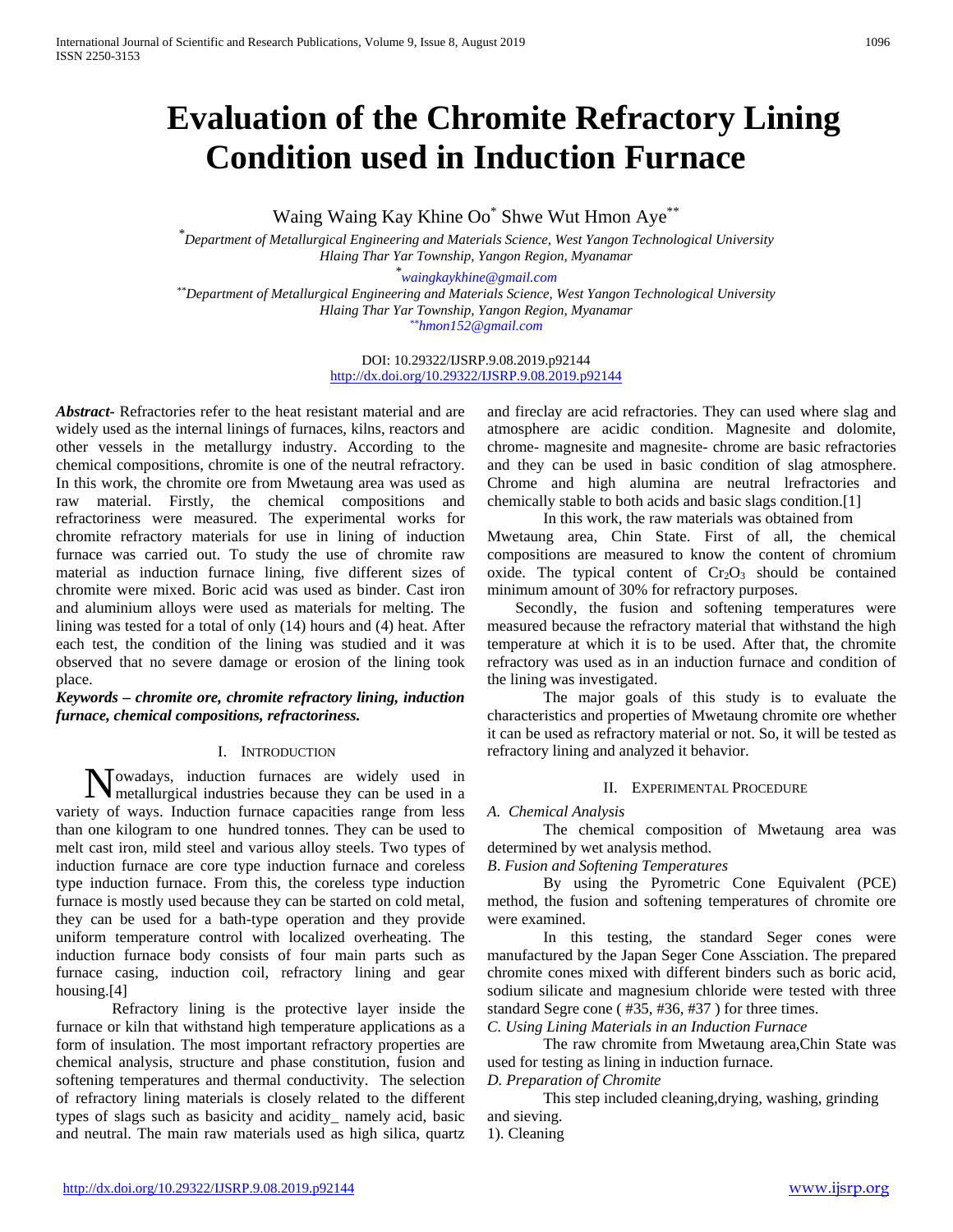# **Evaluation of the Chromite Refractory Lining Condition used in Induction Furnace**

Waing Waing Kay Khine Oo<sup>\*</sup> Shwe Wut Hmon Aye<sup>\*\*</sup>

*\*Department of Metallurgical Engineering and Materials Science, West Yangon Technological University Hlaing Thar Yar Township, Yangon Region, Myanamar*

*\* [waingkaykhine@gmail.com](mailto:waingkaykhine@gmail.com) \*\*Department of Metallurgical Engineering and Materials Science, West Yangon Technological University Hlaing Thar Yar Township, Yangon Region, Myanamar [\\*\\*hmon152@gmail.com](mailto:**hmon152@gmail.com)*

> DOI: 10.29322/IJSRP.9.08.2019.p92144 <http://dx.doi.org/10.29322/IJSRP.9.08.2019.p92144>

*Abstract-* Refractories refer to the heat resistant material and are widely used as the internal linings of furnaces, kilns, reactors and other vessels in the metallurgy industry. According to the chemical compositions, chromite is one of the neutral refractory. In this work, the chromite ore from Mwetaung area was used as raw material. Firstly, the chemical compositions and refractoriness were measured. The experimental works for chromite refractory materials for use in lining of induction furnace was carried out. To study the use of chromite raw material as induction furnace lining, five different sizes of chromite were mixed. Boric acid was used as binder. Cast iron and aluminium alloys were used as materials for melting. The lining was tested for a total of only (14) hours and (4) heat. After each test, the condition of the lining was studied and it was observed that no severe damage or erosion of the lining took place.

*Keywords – chromite ore, chromite refractory lining, induction furnace, chemical compositions, refractoriness.*

## I. INTRODUCTION

owadays, induction furnaces are widely used in Nowadays, induction furnaces are widely used in a metallurgical industries because they can be used in a variety of ways. Induction furnace capacities range from less than one kilogram to one hundred tonnes. They can be used to melt cast iron, mild steel and various alloy steels. Two types of induction furnace are core type induction furnace and coreless type induction furnace. From this, the coreless type induction furnace is mostly used because they can be started on cold metal, they can be used for a bath-type operation and they provide uniform temperature control with localized overheating. The induction furnace body consists of four main parts such as furnace casing, induction coil, refractory lining and gear housing.[4]

Refractory lining is the protective layer inside the furnace or kiln that withstand high temperature applications as a form of insulation. The most important refractory properties are chemical analysis, structure and phase constitution, fusion and softening temperatures and thermal conductivity. The selection of refractory lining materials is closely related to the different types of slags such as basicity and acidity\_ namely acid, basic and neutral. The main raw materials used as high silica, quartz and fireclay are acid refractories. They can used where slag and atmosphere are acidic condition. Magnesite and dolomite, chrome- magnesite and magnesite- chrome are basic refractories and they can be used in basic condition of slag atmosphere. Chrome and high alumina are neutral lrefractories and chemically stable to both acids and basic slags condition.[1]

In this work, the raw materials was obtained from Mwetaung area, Chin State. First of all, the chemical compositions are measured to know the content of chromium oxide. The typical content of  $Cr_2O_3$  should be contained minimum amount of 30% for refractory purposes.

Secondly, the fusion and softening temperatures were measured because the refractory material that withstand the high temperature at which it is to be used. After that, the chromite refractory was used as in an induction furnace and condition of the lining was investigated.

The major goals of this study is to evaluate the characteristics and properties of Mwetaung chromite ore whether it can be used as refractory material or not. So, it will be tested as refractory lining and analyzed it behavior.

## II. EXPERIMENTAL PROCEDURE

## *A. Chemical Analysis*

The chemical composition of Mwetaung area was determined by wet analysis method.

*B*. *Fusion and Softening Temperatures*

By using the Pyrometric Cone Equivalent (PCE) method, the fusion and softening temperatures of chromite ore were examined.

In this testing, the standard Seger cones were manufactured by the Japan Seger Cone Assciation. The prepared chromite cones mixed with different binders such as boric acid, sodium silicate and magnesium chloride were tested with three standard Segre cone ( #35, #36, #37 ) for three times.

*C. Using Lining Materials in an Induction Furnace*

The raw chromite from Mwetaung area,Chin State was used for testing as lining in induction furnace.

#### *D. Preparation of Chromite*

This step included cleaning,drying, washing, grinding and sieving.

1). Cleaning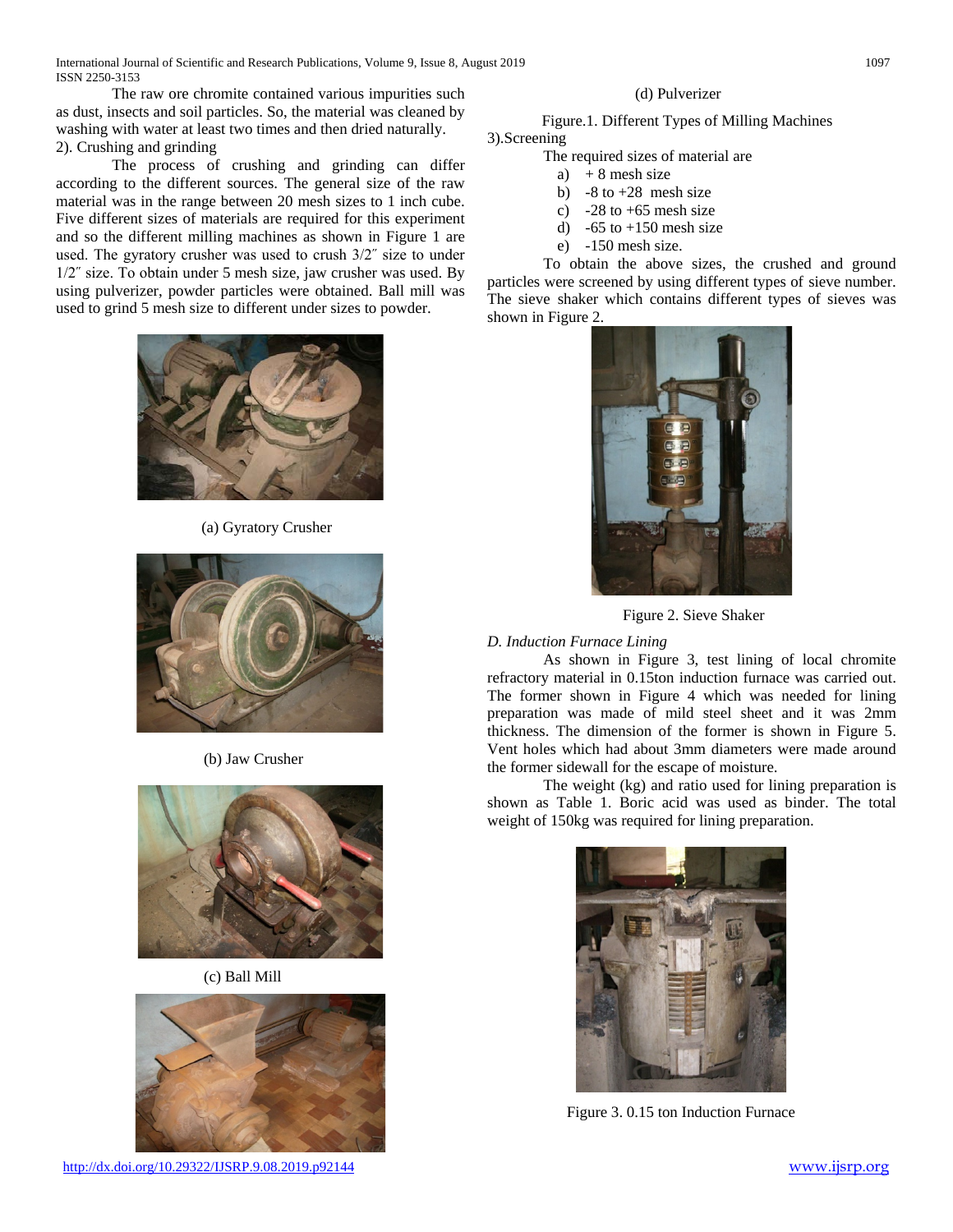International Journal of Scientific and Research Publications, Volume 9, Issue 8, August 2019 1097 ISSN 2250-3153

The raw ore chromite contained various impurities such as dust, insects and soil particles. So, the material was cleaned by washing with water at least two times and then dried naturally. 2). Crushing and grinding

The process of crushing and grinding can differ according to the different sources. The general size of the raw material was in the range between 20 mesh sizes to 1 inch cube. Five different sizes of materials are required for this experiment and so the different milling machines as shown in Figure 1 are used. The gyratory crusher was used to crush 3/2˝ size to under 1/2˝ size. To obtain under 5 mesh size, jaw crusher was used. By using pulverizer, powder particles were obtained. Ball mill was used to grind 5 mesh size to different under sizes to powder.



(a) Gyratory Crusher



(b) Jaw Crusher



(c) Ball Mill



<http://dx.doi.org/10.29322/IJSRP.9.08.2019.p92144> [www.ijsrp.org](http://ijsrp.org/)

#### (d) Pulverizer

# Figure.1. Different Types of Milling Machines

3).Screening

The required sizes of material are

- a)  $+ 8$  mesh size
- b)  $-8$  to  $+28$  mesh size
- c)  $-28$  to  $+65$  mesh size
- d)  $-65$  to  $+150$  mesh size
- e) -150 mesh size.

To obtain the above sizes, the crushed and ground particles were screened by using different types of sieve number. The sieve shaker which contains different types of sieves was shown in Figure 2.



Figure 2. Sieve Shaker

#### *D. Induction Furnace Lining*

As shown in Figure 3, test lining of local chromite refractory material in 0.15ton induction furnace was carried out. The former shown in Figure 4 which was needed for lining preparation was made of mild steel sheet and it was 2mm thickness. The dimension of the former is shown in Figure 5. Vent holes which had about 3mm diameters were made around the former sidewall for the escape of moisture.

The weight (kg) and ratio used for lining preparation is shown as Table 1. Boric acid was used as binder. The total weight of 150kg was required for lining preparation.



Figure 3. 0.15 ton Induction Furnace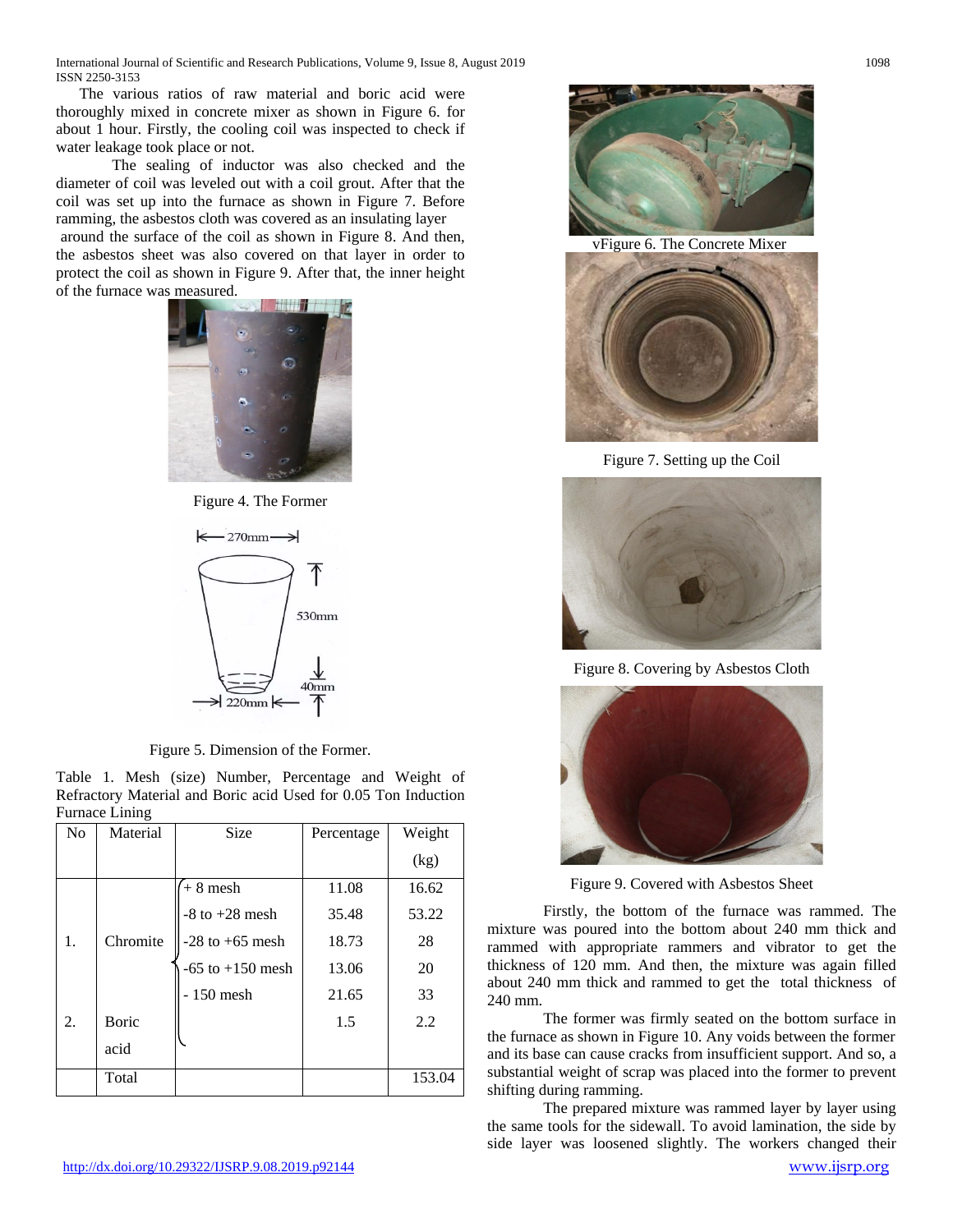International Journal of Scientific and Research Publications, Volume 9, Issue 8, August 2019 1098 ISSN 2250-3153

 The various ratios of raw material and boric acid were thoroughly mixed in concrete mixer as shown in Figure 6. for about 1 hour. Firstly, the cooling coil was inspected to check if water leakage took place or not.

The sealing of inductor was also checked and the diameter of coil was leveled out with a coil grout. After that the coil was set up into the furnace as shown in Figure 7. Before ramming, the asbestos cloth was covered as an insulating layer around the surface of the coil as shown in Figure 8. And then, the asbestos sheet was also covered on that layer in order to protect the coil as shown in Figure 9. After that, the inner height of the furnace was measured.



Figure 4. The Former



Figure 5. Dimension of the Former.

Table 1. Mesh (size) Number, Percentage and Weight of Refractory Material and Boric acid Used for 0.05 Ton Induction Furnace Lining

| N <sub>0</sub> | Material | <b>Size</b>          | Percentage | Weight |
|----------------|----------|----------------------|------------|--------|
|                |          |                      |            | (kg)   |
|                |          | $+8$ mesh            | 11.08      | 16.62  |
|                |          | $-8$ to $+28$ mesh   | 35.48      | 53.22  |
| 1.             | Chromite | $-28$ to $+65$ mesh  | 18.73      | 28     |
|                |          | $-65$ to $+150$ mesh | 13.06      | 20     |
|                |          | - 150 mesh           | 21.65      | 33     |
| 2.             | Boric    |                      | 1.5        | 2.2    |
|                | acid     |                      |            |        |
|                | Total    |                      |            | 153.04 |



vFigure 6. The Concrete Mixer



Figure 7. Setting up the Coil



Figure 8. Covering by Asbestos Cloth



Figure 9. Covered with Asbestos Sheet

Firstly, the bottom of the furnace was rammed. The mixture was poured into the bottom about 240 mm thick and rammed with appropriate rammers and vibrator to get the thickness of 120 mm. And then, the mixture was again filled about 240 mm thick and rammed to get the total thickness of 240 mm.

The former was firmly seated on the bottom surface in the furnace as shown in Figure 10. Any voids between the former and its base can cause cracks from insufficient support. And so, a substantial weight of scrap was placed into the former to prevent shifting during ramming.

The prepared mixture was rammed layer by layer using the same tools for the sidewall. To avoid lamination, the side by side layer was loosened slightly. The workers changed their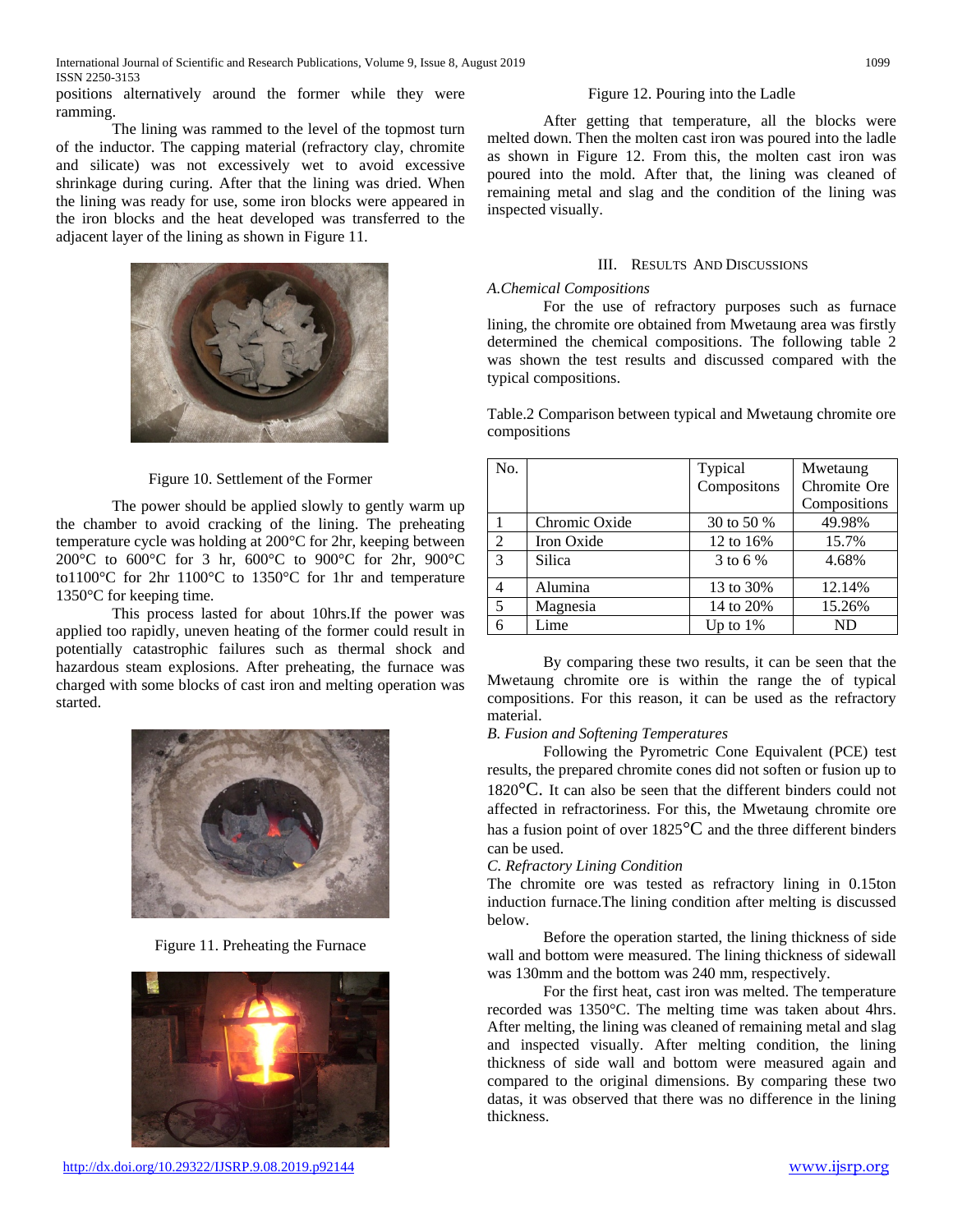positions alternatively around the former while they were ramming.

The lining was rammed to the level of the topmost turn of the inductor. The capping material (refractory clay, chromite and silicate) was not excessively wet to avoid excessive shrinkage during curing. After that the lining was dried. When the lining was ready for use, some iron blocks were appeared in the iron blocks and the heat developed was transferred to the adjacent layer of the lining as shown in Figure 11.



## Figure 10. Settlement of the Former

The power should be applied slowly to gently warm up the chamber to avoid cracking of the lining. The preheating temperature cycle was holding at 200°C for 2hr, keeping between 200°C to 600°C for 3 hr, 600°C to 900°C for 2hr, 900°C to1100°C for 2hr 1100°C to 1350°C for 1hr and temperature 1350°C for keeping time.

This process lasted for about 10hrs.If the power was applied too rapidly, uneven heating of the former could result in potentially catastrophic failures such as thermal shock and hazardous steam explosions. After preheating, the furnace was charged with some blocks of cast iron and melting operation was started.



Figure 11. Preheating the Furnace



### Figure 12. Pouring into the Ladle

After getting that temperature, all the blocks were melted down. Then the molten cast iron was poured into the ladle as shown in Figure 12. From this, the molten cast iron was poured into the mold. After that, the lining was cleaned of remaining metal and slag and the condition of the lining was inspected visually.

## III. RESULTS AND DISCUSSIONS

#### *A.Chemical Compositions*

For the use of refractory purposes such as furnace lining, the chromite ore obtained from Mwetaung area was firstly determined the chemical compositions. The following table 2 was shown the test results and discussed compared with the typical compositions.

Table.2 Comparison between typical and Mwetaung chromite ore compositions

| No.           |               | Typical     | Mwetaung     |
|---------------|---------------|-------------|--------------|
|               |               | Compositons | Chromite Ore |
|               |               |             | Compositions |
|               | Chromic Oxide | 30 to 50 %  | 49.98%       |
| 2             | Iron Oxide    | 12 to 16%   | 15.7%        |
| $\mathcal{E}$ | Silica        | 3 to 6 %    | 4.68%        |
|               | Alumina       | 13 to 30%   | 12.14%       |
| 5             | Magnesia      | 14 to 20%   | 15.26%       |
| 6             | Lime          | Up to $1\%$ | <b>ND</b>    |

By comparing these two results, it can be seen that the Mwetaung chromite ore is within the range the of typical compositions. For this reason, it can be used as the refractory material.

## *B. Fusion and Softening Temperatures*

Following the Pyrometric Cone Equivalent (PCE) test results, the prepared chromite cones did not soften or fusion up to  $1820^{\circ}$ C. It can also be seen that the different binders could not affected in refractoriness. For this, the Mwetaung chromite ore has a fusion point of over 1825°C and the three different binders can be used.

#### *C. Refractory Lining Condition*

The chromite ore was tested as refractory lining in 0.15ton induction furnace.The lining condition after melting is discussed below.

Before the operation started, the lining thickness of side wall and bottom were measured. The lining thickness of sidewall was 130mm and the bottom was 240 mm, respectively.

For the first heat, cast iron was melted. The temperature recorded was 1350°C. The melting time was taken about 4hrs. After melting, the lining was cleaned of remaining metal and slag and inspected visually. After melting condition, the lining thickness of side wall and bottom were measured again and compared to the original dimensions. By comparing these two datas, it was observed that there was no difference in the lining thickness.